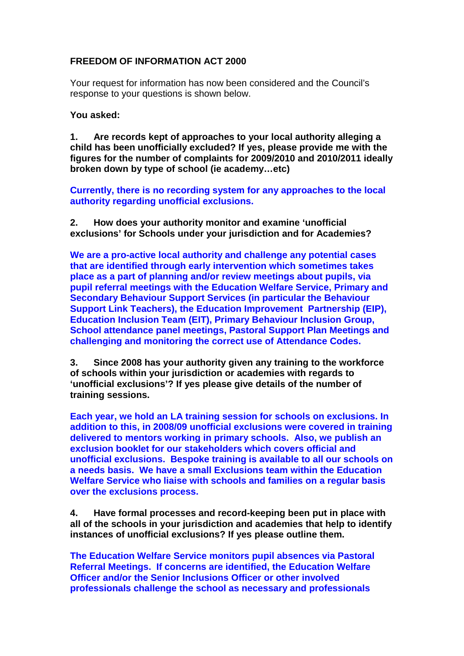## **FREEDOM OF INFORMATION ACT 2000**

Your request for information has now been considered and the Council's response to your questions is shown below.

## **You asked:**

**1. Are records kept of approaches to your local authority alleging a child has been unofficially excluded? If yes, please provide me with the figures for the number of complaints for 2009/2010 and 2010/2011 ideally broken down by type of school (ie academy…etc)**

**Currently, there is no recording system for any approaches to the local authority regarding unofficial exclusions.** 

**2. How does your authority monitor and examine 'unofficial exclusions' for Schools under your jurisdiction and for Academies?**

**We are a pro-active local authority and challenge any potential cases that are identified through early intervention which sometimes takes place as a part of planning and/or review meetings about pupils, via pupil referral meetings with the Education Welfare Service, Primary and Secondary Behaviour Support Services (in particular the Behaviour Support Link Teachers), the Education Improvement Partnership (EIP), Education Inclusion Team (EIT), Primary Behaviour Inclusion Group, School attendance panel meetings, Pastoral Support Plan Meetings and challenging and monitoring the correct use of Attendance Codes.**

**3. Since 2008 has your authority given any training to the workforce of schools within your jurisdiction or academies with regards to 'unofficial exclusions'? If yes please give details of the number of training sessions.**

**Each year, we hold an LA training session for schools on exclusions. In addition to this, in 2008/09 unofficial exclusions were covered in training delivered to mentors working in primary schools. Also, we publish an exclusion booklet for our stakeholders which covers official and unofficial exclusions. Bespoke training is available to all our schools on a needs basis. We have a small Exclusions team within the Education Welfare Service who liaise with schools and families on a regular basis over the exclusions process.**

**4. Have formal processes and record-keeping been put in place with all of the schools in your jurisdiction and academies that help to identify instances of unofficial exclusions? If yes please outline them.**

**The Education Welfare Service monitors pupil absences via Pastoral Referral Meetings. If concerns are identified, the Education Welfare Officer and/or the Senior Inclusions Officer or other involved professionals challenge the school as necessary and professionals**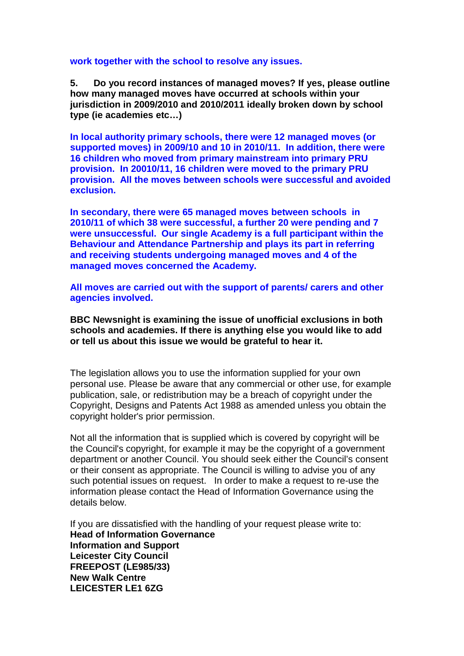## **work together with the school to resolve any issues.**

**5. Do you record instances of managed moves? If yes, please outline how many managed moves have occurred at schools within your jurisdiction in 2009/2010 and 2010/2011 ideally broken down by school type (ie academies etc…)**

**In local authority primary schools, there were 12 managed moves (or supported moves) in 2009/10 and 10 in 2010/11. In addition, there were 16 children who moved from primary mainstream into primary PRU provision. In 20010/11, 16 children were moved to the primary PRU provision. All the moves between schools were successful and avoided exclusion.**

**In secondary, there were 65 managed moves between schools in 2010/11 of which 38 were successful, a further 20 were pending and 7 were unsuccessful. Our single Academy is a full participant within the Behaviour and Attendance Partnership and plays its part in referring and receiving students undergoing managed moves and 4 of the managed moves concerned the Academy.** 

**All moves are carried out with the support of parents/ carers and other agencies involved.** 

**BBC Newsnight is examining the issue of unofficial exclusions in both schools and academies. If there is anything else you would like to add or tell us about this issue we would be grateful to hear it.**

The legislation allows you to use the information supplied for your own personal use. Please be aware that any commercial or other use, for example publication, sale, or redistribution may be a breach of copyright under the Copyright, Designs and Patents Act 1988 as amended unless you obtain the copyright holder's prior permission.

Not all the information that is supplied which is covered by copyright will be the Council's copyright, for example it may be the copyright of a government department or another Council. You should seek either the Council's consent or their consent as appropriate. The Council is willing to advise you of any such potential issues on request. In order to make a request to re-use the information please contact the Head of Information Governance using the details below.

If you are dissatisfied with the handling of your request please write to: **Head of Information Governance Information and Support Leicester City Council FREEPOST (LE985/33) New Walk Centre LEICESTER LE1 6ZG**